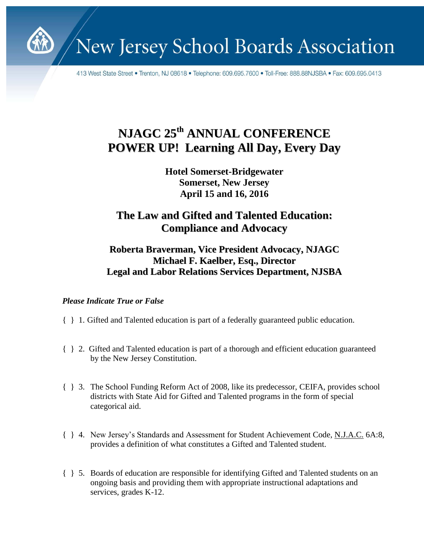

New Jersey School Boards Association

413 West State Street • Trenton, NJ 08618 • Telephone: 609.695.7600 • Toll-Free: 888.88NJSBA • Fax: 609.695.0413

## **NJAGC 25 th ANNUAL CONFERENCE POWER UP! Learning All Day, Every Day**

**Hotel Somerset-Bridgewater Somerset, New Jersey April 15 and 16, 2016**

## **The Law and Gifted and Talented Education: Compliance and Advocacy**

## **Roberta Braverman, Vice President Advocacy, NJAGC Michael F. Kaelber, Esq., Director Legal and Labor Relations Services Department, NJSBA**

## *Please Indicate True or False*

- { } 1. Gifted and Talented education is part of a federally guaranteed public education.
- { } 2. Gifted and Talented education is part of a thorough and efficient education guaranteed by the New Jersey Constitution.
- { } 3. The School Funding Reform Act of 2008, like its predecessor, CEIFA, provides school districts with State Aid for Gifted and Talented programs in the form of special categorical aid.
- { } 4. New Jersey's Standards and Assessment for Student Achievement Code, N.J.A.C. 6A:8, provides a definition of what constitutes a Gifted and Talented student.
- { } 5. Boards of education are responsible for identifying Gifted and Talented students on an ongoing basis and providing them with appropriate instructional adaptations and services, grades K-12.